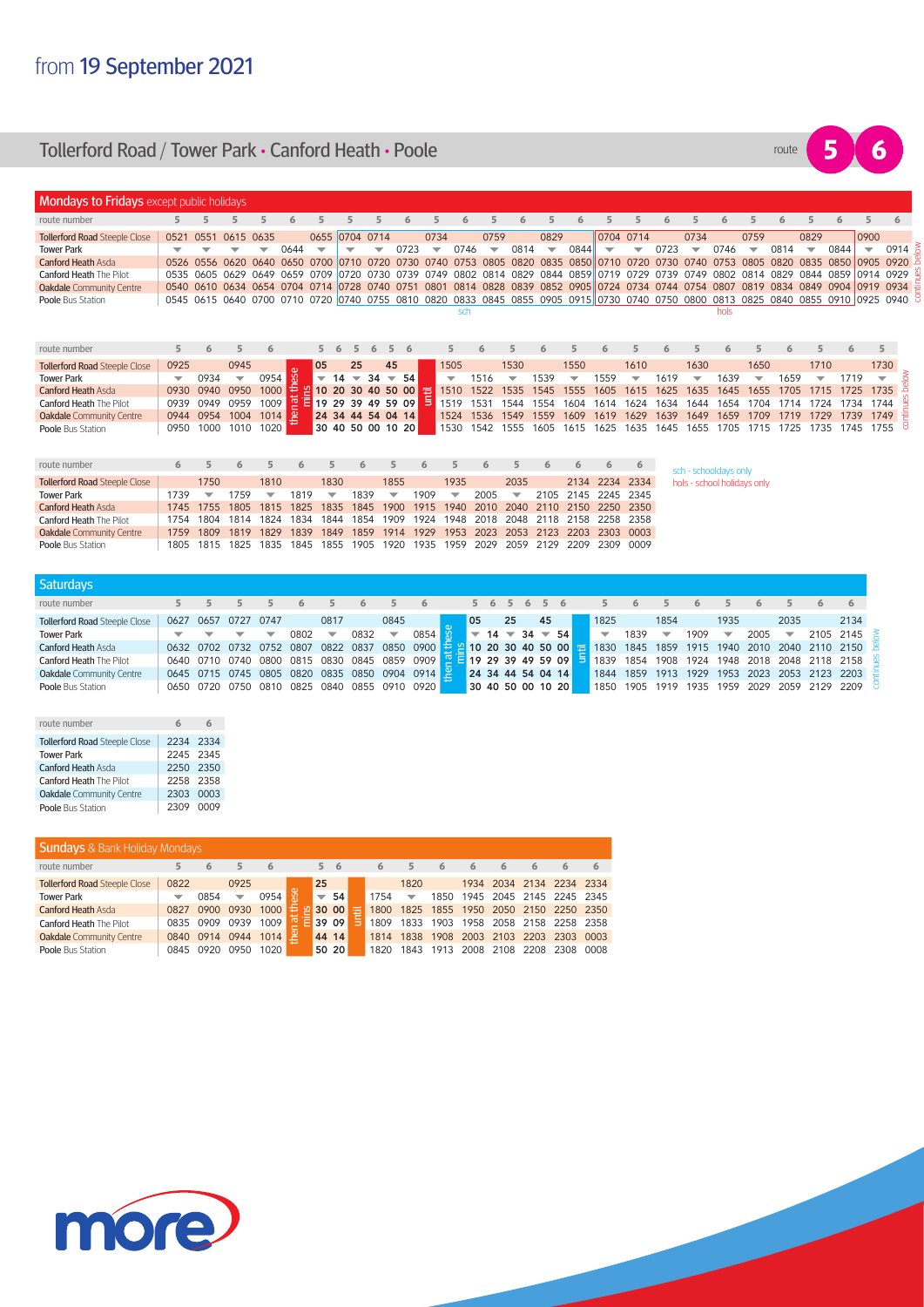## **Tollerford Road / Tower Park • Canford Heath • Poole <b>Road Road Property Road Property** route



| <b>Mondays to Fridays</b> except public holidays |                          |           |                                              |      |                |                           |                                |                                |      |                          |           |                          |      |                          |           |                          |                               |      |      |                             |                          |             |                          |                     |                          |                                                                                                                                     |
|--------------------------------------------------|--------------------------|-----------|----------------------------------------------|------|----------------|---------------------------|--------------------------------|--------------------------------|------|--------------------------|-----------|--------------------------|------|--------------------------|-----------|--------------------------|-------------------------------|------|------|-----------------------------|--------------------------|-------------|--------------------------|---------------------|--------------------------|-------------------------------------------------------------------------------------------------------------------------------------|
| route number                                     |                          |           |                                              |      |                |                           |                                |                                |      |                          |           |                          |      |                          |           |                          |                               |      |      |                             |                          |             |                          |                     |                          |                                                                                                                                     |
| <b>Tollerford Road Steeple Close</b>             | 0521                     | 0551      | 0615                                         | 0635 |                | 0655 0704 0714            |                                |                                |      | 0734                     |           | 0759                     |      | 0829                     |           |                          | 0704 0714                     |      | 0734 |                             | 0759                     |             | 0829                     |                     | 0900                     |                                                                                                                                     |
| <b>Tower Park</b>                                |                          |           |                                              |      | 0644           | ▽                         |                                |                                | 0723 | $\overline{\phantom{a}}$ | 0746      | $\overline{\phantom{a}}$ | 0814 | $\overline{\phantom{a}}$ | 0844      | $\overline{\phantom{a}}$ | $\overline{\phantom{a}}$      | 0723 |      | 0746                        | $\overline{\phantom{a}}$ | 0814        | $\overline{\phantom{a}}$ | 0844                | $\overline{\phantom{a}}$ | 0914                                                                                                                                |
| <b>Canford Heath Asda</b>                        |                          | 0526 0556 | 0620                                         | 0640 | 0650 0700      |                           | 0710                           | 0720                           | 0730 | 0740                     | 0753      | 0805                     | 0820 |                          | 0835 0850 | 10710                    | 0720                          | 0730 | 0740 | 0753                        | 0805                     | <b>0820</b> | 0835                     | 0850                | 0905 0920                |                                                                                                                                     |
| <b>Canford Heath The Pilot</b>                   |                          |           | 0535 0605 0629 0649 0659 0709 0720 0730 0739 |      |                |                           |                                |                                |      | 0749                     | 0802 0814 |                          |      |                          |           |                          | 0829 0844 0859 0719 0729 0739 |      | 0749 | <b>0802</b>                 | 0814 0829                |             |                          | 0844 0859 0914 0929 |                          |                                                                                                                                     |
| <b>Oakdale</b> Community Centre                  |                          | 0540 0610 | 0634                                         | 0654 | 0704 0714      |                           | 0728                           | 0740                           | 0751 | 0801                     | 081<br>4  | 0828                     | 0839 |                          |           | 0852 0905 0724           | 0734                          | 0744 | 0754 | 0807                        | 0819                     | 0834        | 0849                     | 0904                | 0919 0934                |                                                                                                                                     |
| Poole Bus Station                                |                          |           |                                              |      |                |                           |                                |                                |      |                          |           |                          |      |                          |           |                          |                               |      |      |                             |                          |             |                          |                     |                          | 0545 0615 0640 0700 0710 0720 0740 0755 0810 0820 0833 0845 0855 0905 0915 0730 0740 0750 0800 0813 0825 0840 0855 0910 0925 0940 8 |
| route number                                     | 5.                       | 6         | 5                                            | 6    |                | 5.                        | 5<br>6                         | 6<br>5                         | -6   |                          | sch       |                          |      |                          |           |                          |                               |      |      | hols<br>6                   |                          |             |                          |                     | 5                        |                                                                                                                                     |
| <b>Tollerford Road Steeple Close</b>             | 0925                     |           | 0945                                         |      |                | 05                        | 25                             | 45                             |      | 1505                     |           |                          | 1530 |                          | 1550      |                          | 1610                          |      | 1630 |                             | 1650                     |             | 1710                     |                     | 1730                     |                                                                                                                                     |
| <b>Tower Park</b>                                | $\overline{\phantom{0}}$ | 0934      | $\overline{\phantom{a}}$                     | 0954 | $\omega$<br>G9 | $\overline{\phantom{0}}$  | 14<br>$\overline{\phantom{0}}$ | 34<br>$\overline{\phantom{a}}$ | - 54 | $\overline{\phantom{0}}$ | 1516      |                          |      | 1539                     |           | 1559                     | ▼                             | 1619 |      | 1639                        |                          | 1659        | ▼                        | 1719                | $\overline{\phantom{a}}$ |                                                                                                                                     |
| <b>Canford Heath Asda</b>                        | 0930                     | 0940      | 0950                                         |      | $1000 \div$    | 2 10 20 30 40 50 00       |                                |                                |      | 1510                     | 1522      |                          | 1535 | 1545                     | 555       | 1605                     | 1615                          | 625  | 1635 | 1645                        | 1655                     | 1705        | 1715                     | 1725                | 1735                     |                                                                                                                                     |
| <b>Canford Heath The Pilot</b>                   | 0939                     | 0949      | 0959                                         | 1009 |                | $\frac{1}{2}$ $\equiv$ 19 | 29                             | 39 49 59 09                    |      | <u>ia</u><br>1519        | 1531      |                          | 1544 | 1554                     | 1604      | 1614                     | 1624                          | 1634 | 1644 | 1654                        | 1704                     | 1714        | 1724                     | 1734                | 1744                     |                                                                                                                                     |
| <b>Oakdale</b> Community Centre                  | 0944                     | 0954      | 1004                                         | 1014 | 옫              |                           | 24 34 44 54 04 14              |                                |      | 1524                     | 1536      |                          | 1549 | 1559                     | 1609      | 1619                     | 1629                          | 1639 | 1649 | 1659                        | 1709                     |             |                          | 1739                | 1749                     |                                                                                                                                     |
| Poole Bus Station                                | 0950                     | 1000      | 1010                                         | 1020 |                |                           | 30 40 50 00 10 20              |                                |      | 1530                     | 1542      |                          | 1555 | 1605                     | 1615      | 1625                     | 1635                          | 1645 | 1655 | 1705                        | 1715                     | 1725        | 1735                     | 1745                | 1755                     |                                                                                                                                     |
|                                                  |                          |           |                                              |      |                |                           |                                |                                |      |                          |           |                          |      |                          |           |                          |                               |      |      |                             |                          |             |                          |                     |                          |                                                                                                                                     |
| route number                                     | 6                        |           | 6                                            |      | 6              |                           |                                |                                |      |                          |           | 6                        |      | 6                        | 6         | 6                        | 6                             |      |      | sch - schooldays only       |                          |             |                          |                     |                          |                                                                                                                                     |
| <b>Tollerford Road Steeple Close</b>             |                          | 1750      |                                              | 1810 |                | 1830                      |                                |                                | 1855 | 1935                     |           |                          | 2035 |                          | 2134      | 2234                     | 2334                          |      |      | hols - school holidays only |                          |             |                          |                     |                          |                                                                                                                                     |

|                                      |      |      |     |      |                               |      |      |                          | . .                                                                             |                          | --   |                          | $\sim$ | $\sim$              |                |                                                                                 |
|--------------------------------------|------|------|-----|------|-------------------------------|------|------|--------------------------|---------------------------------------------------------------------------------|--------------------------|------|--------------------------|--------|---------------------|----------------|---------------------------------------------------------------------------------|
| <b>Tollerford Road Steeple Close</b> |      | 1750 |     | 1810 |                               | 1830 |      | 1855                     |                                                                                 | 1935                     |      | 2035                     |        |                     | 2134 2234 2334 |                                                                                 |
| <b>Tower Park</b>                    | 1739 | ▼    | 759 | ▼    | 1819                          | ▼    | 1839 | $\overline{\phantom{0}}$ | 1909                                                                            | $\overline{\phantom{a}}$ | 2005 | $\overline{\phantom{0}}$ |        | 2105 2145 2245 2345 |                |                                                                                 |
| <b>Canford Heath Asda</b>            |      |      |     |      |                               |      |      |                          |                                                                                 |                          |      |                          |        |                     |                | 1745 1755 1805 1815 1825 1835 1845 1900 1915 1940 2010 2040 2110 2150 2250 2350 |
| <b>Canford Heath The Pilot</b>       |      |      |     |      | 1754 1804 1814 1824 1834 1844 |      |      |                          | 1854 1909 1924 1948 2018 2048 2118 2158 2258 2358                               |                          |      |                          |        |                     |                |                                                                                 |
| <b>Oakdale</b> Community Centre      |      |      |     |      |                               |      |      |                          |                                                                                 |                          |      |                          |        |                     |                | 1759 1809 1819 1829 1839 1849 1859 1914 1929 1953 2023 2053 2123 2203 2303 0003 |
| <b>Poole Bus Station</b>             |      |      |     |      |                               |      |      |                          | 1805 1815 1825 1835 1845 1855 1905 1920 1935 1959 2029 2059 2129 2209 2309 0009 |                          |      |                          |        |                     |                |                                                                                 |
|                                      |      |      |     |      |                               |      |      |                          |                                                                                 |                          |      |                          |        |                     |                |                                                                                 |

| <b>Saturdays</b>                     |      |      |                          |                          |                                                                           |                          |      |                          |      |    |       |    |    |                   |    |                                                                   |      |                          |                                    |              |           |                         |                                      |
|--------------------------------------|------|------|--------------------------|--------------------------|---------------------------------------------------------------------------|--------------------------|------|--------------------------|------|----|-------|----|----|-------------------|----|-------------------------------------------------------------------|------|--------------------------|------------------------------------|--------------|-----------|-------------------------|--------------------------------------|
| route number                         |      |      |                          |                          |                                                                           |                          |      |                          |      |    |       |    |    | 5 6 5 6 5 6       |    |                                                                   |      |                          |                                    |              |           |                         | 6                                    |
| <b>Tollerford Road Steeple Close</b> | 0627 | 0657 | 0727                     | 0747                     |                                                                           | 0817                     |      | 0845                     |      | 05 |       | 25 |    | 45                |    | 1825                                                              |      | 1854                     |                                    | 1935         |           | 2035                    | 2134                                 |
| <b>Tower Park</b>                    |      |      | $\overline{\phantom{0}}$ | $\overline{\phantom{a}}$ | 0802                                                                      | $\overline{\phantom{0}}$ | 0832 | $\overline{\phantom{a}}$ | 0854 |    | $-14$ |    | 34 |                   | 54 | $\overline{\phantom{a}}$                                          | 1839 | $\overline{\phantom{a}}$ | 1909                               | $\checkmark$ | 2005      | $\overline{\mathbf{v}}$ | 2105 2145                            |
| <b>Canford Heath Asda</b>            |      |      |                          |                          | 0632 0702 0732 0752 0807 0822 0837                                        |                          |      |                          |      |    |       |    |    |                   |    | 0850 0900 $\frac{1}{2}$ 10 20 30 40 50 00 $\frac{1}{2}$ 1830 1845 |      |                          |                                    |              |           |                         | 1859 1915 1940 2010 2040 2110 2150 B |
| <b>Canford Heath The Pilot</b>       |      |      |                          |                          | 0640 0710 0740 0800 0815 0830 0845 0859 0909 <b>E 19 29 39 49 59 09 5</b> |                          |      |                          |      |    |       |    |    |                   |    | 1839 1854                                                         |      |                          | 1908 1924 1948 2018 2048 2118 2158 |              |           |                         |                                      |
| Oakdale Community Centre             |      |      | 0645 0715 0745           | 0805                     | 0820 0835                                                                 |                          | 0850 | 0904 0914 P              |      |    |       |    |    | 24 34 44 54 04 14 |    | 1844                                                              |      |                          | 1859 1913 1929                     |              | 1953 2023 | 2053 2123 2203          |                                      |
| Poole Bus Station                    |      |      |                          |                          | 0650 0720 0750 0810 0825 0840 0855 0910 0920                              |                          |      |                          |      |    |       |    |    | 30 40 50 00 10 20 |    | 1850                                                              | 1905 | 1919                     | 1935                               |              | 1959 2029 | 2059 2129 2209          |                                      |

| route number                         |           |  |
|--------------------------------------|-----------|--|
| <b>Tollerford Road Steeple Close</b> | 2234 2334 |  |
| <b>Tower Park</b>                    | 2245 2345 |  |
| <b>Canford Heath Asda</b>            | 2250 2350 |  |
| <b>Canford Heath The Pilot</b>       | 2258 2358 |  |
| Oakdale Community Centre             | 2303 0003 |  |
| Poole Bus Station                    | 2309 0009 |  |

| <b>Sundays</b> & Bank Holiday Mondays |      |      |      |      |                          |       |   |      |                          |           |      |      |      |                                    |      |
|---------------------------------------|------|------|------|------|--------------------------|-------|---|------|--------------------------|-----------|------|------|------|------------------------------------|------|
| route number                          | 5    | 6    | 5    | 6    | 5                        | - 6   |   | 6    | 5                        | 6         | 6    | 6    |      |                                    | 6    |
| <b>Tollerford Road Steeple Close</b>  | 0822 |      | 0925 |      | 25                       |       |   |      | 1820                     |           |      |      |      | 1934 2034 2134 2234 2334           |      |
| <b>Tower Park</b>                     | ▼    | 0854 | ▼    | 0954 | $\overline{\phantom{0}}$ | 54    |   | 1754 | $\overline{\phantom{0}}$ | 1850      |      |      |      | 1945 2045 2145 2245 2345           |      |
| <b>Canford Heath Asda</b>             | 0827 | 0900 | 0930 | 1000 |                          | 30 00 | ÷ | 1800 |                          |           |      |      |      | 1825 1855 1950 2050 2150 2250 2350 |      |
| <b>Canford Heath The Pilot</b>        | 0835 | 0909 | 0939 | 1009 |                          | 39 09 |   | 1809 |                          |           |      |      |      | 1833 1903 1958 2058 2158 2258 2358 |      |
| <b>Oakdale</b> Community Centre       | 0840 | 0914 | 0944 | 1014 |                          | 44 14 |   | 1814 |                          | 1838 1908 |      |      |      | 2003 2103 2203 2303 0003           |      |
| Poole Bus Station                     | 0845 | 0920 | 0950 | 1020 |                          | 50 20 |   | 1820 | 1843                     | 1913      | 2008 | 2108 | 2208 | 2308                               | 0008 |